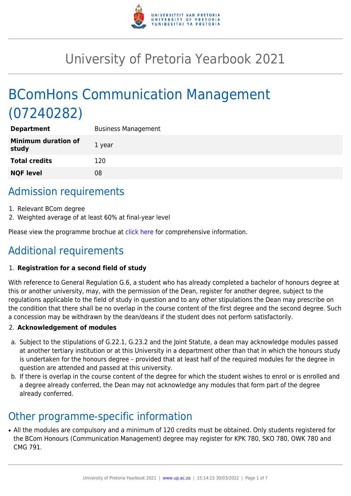

# University of Pretoria Yearbook 2021

# BComHons Communication Management (07240282)

| <b>Department</b>                   | <b>Business Management</b> |
|-------------------------------------|----------------------------|
| <b>Minimum duration of</b><br>study | 1 year                     |
| <b>Total credits</b>                | 120                        |
| <b>NQF level</b>                    | 08                         |
|                                     |                            |

# Admission requirements

- 1. Relevant BCom degree
- 2. Weighted average of at least 60% at final-year level

Please view the programme brochue at [click here](https://www.up.ac.za/media/shared/77/ZP_Files/2021/bcom-hons-communication-management-2021.zp186298.pdf) for comprehensive information.

# Additional requirements

### 1. **Registration for a second field of study**

With reference to General Regulation G.6, a student who has already completed a bachelor of honours degree at this or another university, may, with the permission of the Dean, register for another degree, subject to the regulations applicable to the field of study in question and to any other stipulations the Dean may prescribe on the condition that there shall be no overlap in the course content of the first degree and the second degree. Such a concession may be withdrawn by the dean/deans if the student does not perform satisfactorily.

### 2. **Acknowledgement of modules**

- a. Subject to the stipulations of G.22.1, G.23.2 and the Joint Statute, a dean may acknowledge modules passed at another tertiary institution or at this University in a department other than that in which the honours study is undertaken for the honours degree – provided that at least half of the required modules for the degree in question are attended and passed at this university.
- b. If there is overlap in the course content of the degree for which the student wishes to enrol or is enrolled and a degree already conferred, the Dean may not acknowledge any modules that form part of the degree already conferred.

## Other programme-specific information

• All the modules are compulsory and a minimum of 120 credits must be obtained. Only students registered for the BCom Honours (Communication Management) degree may register for KPK 780, SKO 780, OWK 780 and CMG 791.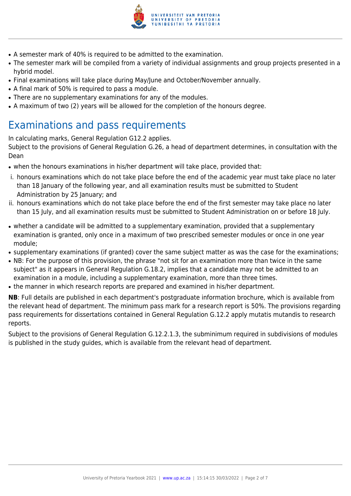

- A semester mark of 40% is required to be admitted to the examination.
- The semester mark will be compiled from a variety of individual assignments and group projects presented in a hybrid model.
- Final examinations will take place during May/June and October/November annually.
- A final mark of 50% is required to pass a module.
- There are no supplementary examinations for any of the modules.
- A maximum of two (2) years will be allowed for the completion of the honours degree.

# Examinations and pass requirements

In calculating marks, General Regulation G12.2 applies.

Subject to the provisions of General Regulation G.26, a head of department determines, in consultation with the Dean

- when the honours examinations in his/her department will take place, provided that:
- i. honours examinations which do not take place before the end of the academic year must take place no later than 18 January of the following year, and all examination results must be submitted to Student Administration by 25 January; and
- ii. honours examinations which do not take place before the end of the first semester may take place no later than 15 July, and all examination results must be submitted to Student Administration on or before 18 July.
- whether a candidate will be admitted to a supplementary examination, provided that a supplementary examination is granted, only once in a maximum of two prescribed semester modules or once in one year module;
- supplementary examinations (if granted) cover the same subject matter as was the case for the examinations;
- NB: For the purpose of this provision, the phrase "not sit for an examination more than twice in the same subject" as it appears in General Regulation G.18.2, implies that a candidate may not be admitted to an examination in a module, including a supplementary examination, more than three times.
- the manner in which research reports are prepared and examined in his/her department.

**NB**: Full details are published in each department's postgraduate information brochure, which is available from the relevant head of department. The minimum pass mark for a research report is 50%. The provisions regarding pass requirements for dissertations contained in General Regulation G.12.2 apply mutatis mutandis to research reports.

Subject to the provisions of General Regulation G.12.2.1.3, the subminimum required in subdivisions of modules is published in the study guides, which is available from the relevant head of department.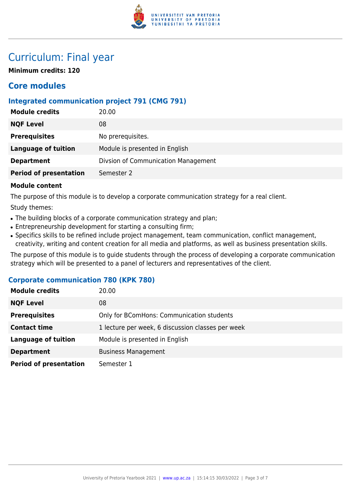

# Curriculum: Final year

**Minimum credits: 120**

## **Core modules**

### **Integrated communication project 791 (CMG 791)**

| <b>Module credits</b>         | 20.00                               |
|-------------------------------|-------------------------------------|
| <b>NQF Level</b>              | 08                                  |
| <b>Prerequisites</b>          | No prerequisites.                   |
| <b>Language of tuition</b>    | Module is presented in English      |
| <b>Department</b>             | Divsion of Communication Management |
| <b>Period of presentation</b> | Semester 2                          |
|                               |                                     |

#### **Module content**

The purpose of this module is to develop a corporate communication strategy for a real client.

Study themes:

- The building blocks of a corporate communication strategy and plan;
- Entrepreneurship development for starting a consulting firm;
- Specifics skills to be refined include project management, team communication, conflict management, creativity, writing and content creation for all media and platforms, as well as business presentation skills.

The purpose of this module is to guide students through the process of developing a corporate communication strategy which will be presented to a panel of lecturers and representatives of the client.

### **Corporate communication 780 (KPK 780)**

| <b>Module credits</b>         | 20.00                                             |
|-------------------------------|---------------------------------------------------|
| <b>NQF Level</b>              | 08                                                |
| <b>Prerequisites</b>          | Only for BComHons: Communication students         |
| <b>Contact time</b>           | 1 lecture per week, 6 discussion classes per week |
| <b>Language of tuition</b>    | Module is presented in English                    |
| <b>Department</b>             | <b>Business Management</b>                        |
| <b>Period of presentation</b> | Semester 1                                        |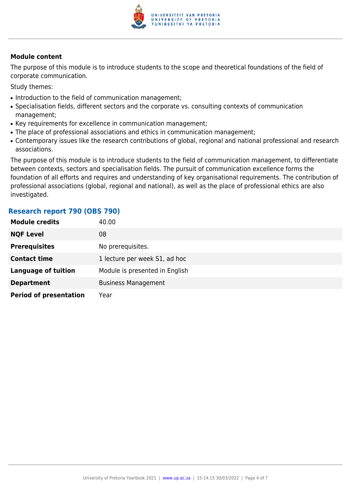

#### **Module content**

The purpose of this module is to introduce students to the scope and theoretical foundations of the field of corporate communication.

Study themes:

- Introduction to the field of communication management;
- Specialisation fields, different sectors and the corporate vs. consulting contexts of communication management;
- Key requirements for excellence in communication management;
- The place of professional associations and ethics in communication management;
- Contemporary issues like the research contributions of global, regional and national professional and research associations.

The purpose of this module is to introduce students to the field of communication management, to differentiate between contexts, sectors and specialisation fields. The pursuit of communication excellence forms the foundation of all efforts and requires and understanding of key organisational requirements. The contribution of professional associations (global, regional and national), as well as the place of professional ethics are also investigated.

### **Research report 790 (OBS 790)**

| <b>Module credits</b>         | 40.00                          |
|-------------------------------|--------------------------------|
| <b>NQF Level</b>              | 08                             |
| <b>Prerequisites</b>          | No prerequisites.              |
| <b>Contact time</b>           | 1 lecture per week S1, ad hoc  |
| <b>Language of tuition</b>    | Module is presented in English |
| <b>Department</b>             | <b>Business Management</b>     |
| <b>Period of presentation</b> | Year                           |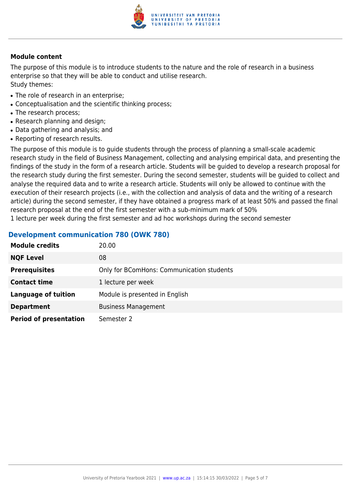

#### **Module content**

The purpose of this module is to introduce students to the nature and the role of research in a business enterprise so that they will be able to conduct and utilise research. Study themes:

- The role of research in an enterprise:
- Conceptualisation and the scientific thinking process;
- The research process;
- Research planning and design;
- Data gathering and analysis; and
- Reporting of research results.

The purpose of this module is to guide students through the process of planning a small-scale academic research study in the field of Business Management, collecting and analysing empirical data, and presenting the findings of the study in the form of a research article. Students will be guided to develop a research proposal for the research study during the first semester. During the second semester, students will be guided to collect and analyse the required data and to write a research article. Students will only be allowed to continue with the execution of their research projects (i.e., with the collection and analysis of data and the writing of a research article) during the second semester, if they have obtained a progress mark of at least 50% and passed the final research proposal at the end of the first semester with a sub-minimum mark of 50%

1 lecture per week during the first semester and ad hoc workshops during the second semester

#### **Development communication 780 (OWK 780)**

| <b>Module credits</b>         | 20.00                                     |
|-------------------------------|-------------------------------------------|
| <b>NQF Level</b>              | 08                                        |
| <b>Prerequisites</b>          | Only for BComHons: Communication students |
| <b>Contact time</b>           | 1 lecture per week                        |
| <b>Language of tuition</b>    | Module is presented in English            |
| <b>Department</b>             | <b>Business Management</b>                |
| <b>Period of presentation</b> | Semester 2                                |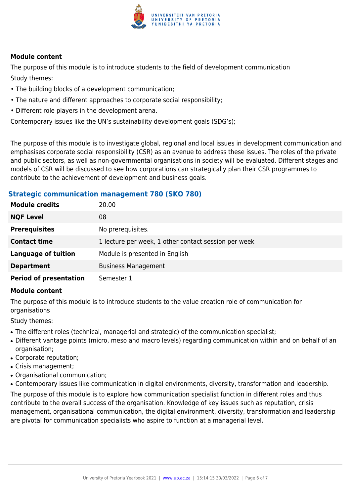

#### **Module content**

The purpose of this module is to introduce students to the field of development communication Study themes:

- The building blocks of a development communication;
- The nature and different approaches to corporate social responsibility;
- Different role players in the development arena.

Contemporary issues like the UN's sustainability development goals (SDG's);

The purpose of this module is to investigate global, regional and local issues in development communication and emphasises corporate social responsibility (CSR) as an avenue to address these issues. The roles of the private and public sectors, as well as non-governmental organisations in society will be evaluated. Different stages and models of CSR will be discussed to see how corporations can strategically plan their CSR programmes to contribute to the achievement of development and business goals.

### **Strategic communication management 780 (SKO 780)**

| <b>Module credits</b>         | 20.00                                                |
|-------------------------------|------------------------------------------------------|
| <b>NQF Level</b>              | 08                                                   |
| <b>Prerequisites</b>          | No prerequisites.                                    |
| <b>Contact time</b>           | 1 lecture per week, 1 other contact session per week |
| <b>Language of tuition</b>    | Module is presented in English                       |
| <b>Department</b>             | <b>Business Management</b>                           |
| <b>Period of presentation</b> | Semester 1                                           |

#### **Module content**

The purpose of this module is to introduce students to the value creation role of communication for organisations

Study themes:

- The different roles (technical, managerial and strategic) of the communication specialist;
- Different vantage points (micro, meso and macro levels) regarding communication within and on behalf of an organisation;
- Corporate reputation;
- Crisis management;
- Organisational communication;
- Contemporary issues like communication in digital environments, diversity, transformation and leadership.

The purpose of this module is to explore how communication specialist function in different roles and thus contribute to the overall success of the organisation. Knowledge of key issues such as reputation, crisis management, organisational communication, the digital environment, diversity, transformation and leadership are pivotal for communication specialists who aspire to function at a managerial level.